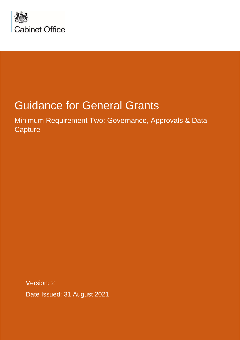

# Guidance for General Grants

Minimum Requirement Two: Governance, Approvals & Data **Capture** 

Version: 2 Date Issued: 31 August 2021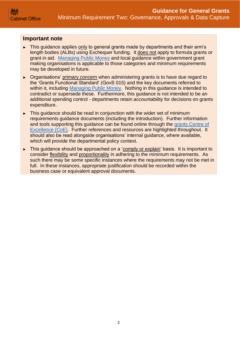#### **Important note**

- ► This guidance applies only to general grants made by departments and their arm's length bodies (ALBs) using Exchequer funding. It does not apply to formula grants or grant in aid. [Managing Public Money](https://www.gov.uk/government/publications/managing-public-money) and local guidance within government grant making organisations is applicable to those categories and minimum requirements may be developed in future.
- ► Organisations' primary concern when administering grants is to have due regard to the 'Grants Functional Standard' (GovS 015) and the key documents referred to within it, including [Managing Public Money.](https://www.gov.uk/government/publications/managing-public-money) Nothing in this guidance is intended to contradict or supersede these. Furthermore, this guidance is not intended to be an additional spending control - departments retain accountability for decisions on grants expenditure.
- ► This guidance should be read in conjunction with the wider set of minimum requirements guidance documents (including the introduction). Further information and tools supporting this guidance can be found online through the [grants Centre of](https://gcoe.civilservice.gov.uk/sign-in/)  [Excellence \(CoE\).](https://gcoe.civilservice.gov.uk/sign-in/) Further references and resources are highlighted throughout. It should also be read alongside organisations' internal guidance, where available, which will provide the departmental policy context.
- ► This guidance should be approached on a 'comply or explain' basis. It is important to consider flexibility and proportionality in adhering to the minimum requirements. As such there may be some specific instances where the requirements may not be met in full. In these instances, appropriate justification should be recorded within the business case or equivalent approval documents.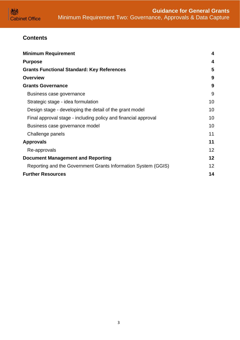## **Contents**

| <b>Minimum Requirement</b>                                     | 4  |
|----------------------------------------------------------------|----|
| <b>Purpose</b>                                                 | 4  |
| <b>Grants Functional Standard: Key References</b>              | 5  |
| <b>Overview</b>                                                | 9  |
| <b>Grants Governance</b>                                       | 9  |
| Business case governance                                       | 9  |
| Strategic stage - idea formulation                             | 10 |
| Design stage - developing the detail of the grant model        | 10 |
| Final approval stage - including policy and financial approval | 10 |
| Business case governance model                                 | 10 |
| Challenge panels                                               | 11 |
| <b>Approvals</b>                                               | 11 |
| Re-approvals                                                   | 12 |
| <b>Document Management and Reporting</b>                       | 12 |
| Reporting and the Government Grants Information System (GGIS)  | 12 |
| <b>Further Resources</b>                                       | 14 |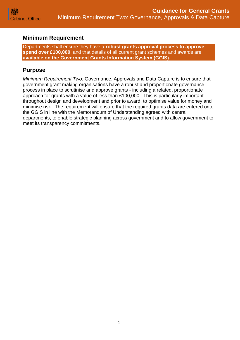## <span id="page-3-0"></span>**Minimum Requirement**

Departments shall ensure they have a **robust grants approval process to approve spend over £100,000**, and that details of all current grant schemes and awards are **available on the Government Grants Information System (GGIS).**

## <span id="page-3-1"></span>**Purpose**

*Minimum Requirement Two:* Governance, Approvals and Data Capture is to ensure that government grant making organisations have a robust and proportionate governance process in place to scrutinise and approve grants - including a related, proportionate approach for grants with a value of less than £100,000. This is particularly important throughout design and development and prior to award, to optimise value for money and minimise risk. The requirement will ensure that the required grants data are entered onto the GGIS in line with the Memorandum of Understanding agreed with central departments, to enable strategic planning across government and to allow government to meet its transparency commitments.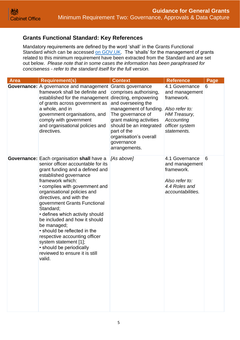## <span id="page-4-0"></span>**Grants Functional Standard: Key References**

Mandatory requirements are defined by the word 'shall' in the Grants Functional Standard which can be accessed [on GOV.UK.](https://www.gov.uk/government/publications/grants-standards) The 'shalls' for the management of grants related to this minimum requirement have been extracted from the Standard and are set out below. *Please note that in some cases the information has been paraphrased for conciseness - refer to the standard itself for the full version.*

| <b>Area</b> | <b>Requirement(s)</b>                                                                                                                                                                                                                                                                                                                                                                                                                                                                                                                                                  | <b>Context</b>                                                                                                                                                                                                            | <b>Reference</b>                                                                                                                       | Page |
|-------------|------------------------------------------------------------------------------------------------------------------------------------------------------------------------------------------------------------------------------------------------------------------------------------------------------------------------------------------------------------------------------------------------------------------------------------------------------------------------------------------------------------------------------------------------------------------------|---------------------------------------------------------------------------------------------------------------------------------------------------------------------------------------------------------------------------|----------------------------------------------------------------------------------------------------------------------------------------|------|
|             | <b>Governance:</b> A governance and management Grants governance<br>framework shall be definite and<br>established for the management directing, empowering<br>of grants across government as<br>a whole, and in<br>government organisations, and<br>comply with government<br>and organisational policies and<br>directives.                                                                                                                                                                                                                                          | comprises authorising,<br>and overseeing the<br>management of funding.<br>The governance of<br>grant making activities<br>should be an integrated<br>part of the<br>organisation's overall<br>governance<br>arrangements. | 4.1 Governance<br>and management<br>framework.<br>Also refer to:<br><b>HM Treasury,</b><br>Accounting<br>officer system<br>statements. | 6    |
|             | <b>Governance:</b> Each organisation shall have a<br>senior officer accountable for its<br>grant funding and a defined and<br>established governance<br>framework which:<br>• complies with government and<br>organisational policies and<br>directives, and with the<br>government Grants Functional<br>Standard;<br>• defines which activity should<br>be included and how it should<br>be managed;<br>• should be reflected in the<br>respective accounting officer<br>system statement [1];<br>• should be periodically<br>reviewed to ensure it is still<br>valid | [As above]                                                                                                                                                                                                                | 4.1 Governance<br>and management<br>framework.<br>Also refer to:<br>4.4 Roles and<br>accountabilities.                                 | 6    |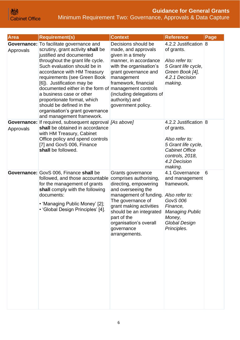## **Guidance for General Grants** Minimum Requirement Two: Governance, Approvals & Data Capture

| <b>Area</b> | <b>Requirement(s)</b>                                                                                                                                                                                                                                                                                                                                                                                                                                                                            | <b>Context</b>                                                                                                                                                                                                                                                          | <b>Reference</b>                                                                                                                                                           | Page |
|-------------|--------------------------------------------------------------------------------------------------------------------------------------------------------------------------------------------------------------------------------------------------------------------------------------------------------------------------------------------------------------------------------------------------------------------------------------------------------------------------------------------------|-------------------------------------------------------------------------------------------------------------------------------------------------------------------------------------------------------------------------------------------------------------------------|----------------------------------------------------------------------------------------------------------------------------------------------------------------------------|------|
| Approvals   | <b>Governance:</b> To facilitate governance and<br>scrutiny, grant activity shall be<br>justified and documented<br>throughout the grant life cycle.<br>Such evaluation should be in<br>accordance with HM Treasury<br>requirements (see Green Book<br>[6]). Justification may be<br>documented either in the form of management controls<br>a business case or other<br>proportionate format, which<br>should be defined in the<br>organisation's grant governance<br>and management framework. | Decisions should be<br>made, and approvals<br>given in a timely<br>manner, in accordance<br>with the organisation's<br>grant governance and<br>management<br>framework, financial<br>(including delegations of<br>authority) and<br>government policy.                  | 4.2.2 Justification 8<br>of grants.<br>Also refer to:<br>5 Grant life cycle,<br>Green Book [4],<br>4.2.1 Decision<br>making.                                               |      |
| Approvals   | <b>Governance:</b> If required, subsequent approval [As above]<br>shall be obtained in accordance<br>with HM Treasury, Cabinet<br>Office policy and spend controls<br>[7] and GovS 006, Finance<br>shall be followed.                                                                                                                                                                                                                                                                            |                                                                                                                                                                                                                                                                         | 4.2.2 Justification 8<br>of grants.<br>Also refer to:<br>5 Grant life cycle,<br><b>Cabinet Office</b><br>controls, 2018,<br>4.2 Decision<br>making.                        |      |
|             | <b>Governance: GovS 006, Finance shall be</b><br>followed, and those accountable<br>for the management of grants<br>shall comply with the following<br>documents:<br>• 'Managing Public Money' [2];<br>• 'Global Design Principles' [4].                                                                                                                                                                                                                                                         | Grants governance<br>comprises authorising,<br>directing, empowering<br>and overseeing the<br>management of funding.<br>The governance of<br>grant making activities<br>should be an integrated<br>part of the<br>organisation's overall<br>governance<br>arrangements. | 4.1 Governance<br>and management<br>framework.<br>Also refer to:<br><b>GovS 006</b><br>Finance,<br><b>Managing Public</b><br>Money,<br><b>Global Design</b><br>Principles. | 6    |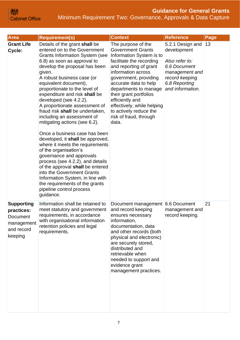**Guidance for General Grants** Minimum Requirement Two: Governance, Approvals & Data Capture

| Area                                                                                      | <b>Requirement(s)</b>                                                                                                                                                                                                                                                                                                                                                                                                                                                                                                                                                                                                                                                                                                                                                                                                                                    | <b>Context</b>                                                                                                                                                                                                                                                                                                                                                            | <b>Reference</b>                                                                                                                           | Page |
|-------------------------------------------------------------------------------------------|----------------------------------------------------------------------------------------------------------------------------------------------------------------------------------------------------------------------------------------------------------------------------------------------------------------------------------------------------------------------------------------------------------------------------------------------------------------------------------------------------------------------------------------------------------------------------------------------------------------------------------------------------------------------------------------------------------------------------------------------------------------------------------------------------------------------------------------------------------|---------------------------------------------------------------------------------------------------------------------------------------------------------------------------------------------------------------------------------------------------------------------------------------------------------------------------------------------------------------------------|--------------------------------------------------------------------------------------------------------------------------------------------|------|
| <b>Grant Life</b><br>Cycle:                                                               | Details of the grant shall be<br>entered on to the Government<br><b>Grants Information System (see</b><br>6.8) as soon as approval to<br>develop the proposal has been<br>given.<br>A robust business case (or<br>equivalent document),<br>proportionate to the level of<br>expenditure and risk shall be<br>developed (see 4.2.2).<br>A proportionate assessment of<br>fraud risk shall be undertaken,<br>including an assessment of<br>mitigating actions (see 6.2).<br>Once a business case has been<br>developed, it shall be approved,<br>where it meets the requirements<br>of the organisation's<br>governance and approvals<br>process (see 4.2.2), and details<br>of the approval shall be entered<br>into the Government Grants<br>Information System, in line with<br>the requirements of the grants<br>pipeline control process<br>guidance. | The purpose of the<br><b>Government Grants</b><br>Information System is to<br>facilitate the recording<br>and reporting of grant<br>information across<br>government, providing<br>accurate data to help<br>departments to manage<br>their grant portfolios<br>efficiently and<br>effectively, while helping<br>to actively reduce the<br>risk of fraud, through<br>data. | 5.2.1 Design and<br>development<br>Also refer to:<br>6.6 Document<br>management and<br>record keeping<br>6.8 Reporting<br>and information. | 13   |
| <b>Supporting</b><br>practices:<br><b>Document</b><br>management<br>and record<br>keeping | Information shall be retained to<br>meet statutory and government<br>requirements, in accordance<br>with organisational information<br>retention policies and legal<br>requirements.                                                                                                                                                                                                                                                                                                                                                                                                                                                                                                                                                                                                                                                                     | Document management 6.6 Document<br>and record keeping<br>ensures necessary<br>information,<br>documentation, data<br>and other records (both<br>physical and electronic)<br>are securely stored,<br>distributed and<br>retrievable when<br>needed to support and<br>evidence grant<br>management practices.                                                              | management and<br>record keeping.                                                                                                          | 21   |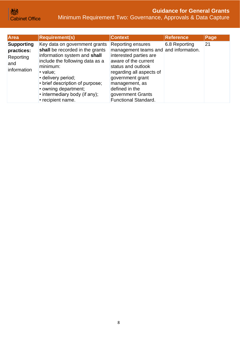**Guidance for General Grants** Minimum Requirement Two: Governance, Approvals & Data Capture

| Area                                                               | <b>Requirement(s)</b>                                                                                                                                                                                                                                                                              | <b>Context</b>                                                                                                                                                                                                                                                             | <b>Reference</b> | Page |
|--------------------------------------------------------------------|----------------------------------------------------------------------------------------------------------------------------------------------------------------------------------------------------------------------------------------------------------------------------------------------------|----------------------------------------------------------------------------------------------------------------------------------------------------------------------------------------------------------------------------------------------------------------------------|------------------|------|
| <b>Supporting</b><br>practices:<br>Reporting<br>and<br>information | Key data on government grants<br>shall be recorded in the grants<br>information system and shall<br>include the following data as a<br>minimum:<br>• value;<br>• delivery period;<br>• brief description of purpose;<br>• owning department;<br>• intermediary body (if any);<br>• recipient name. | Reporting ensures<br>management teams and and information.<br>interested parties are<br>aware of the current<br>status and outlook<br>regarding all aspects of<br>government grant<br>management, as<br>defined in the<br>government Grants<br><b>Functional Standard.</b> | 6.8 Reporting    | 21   |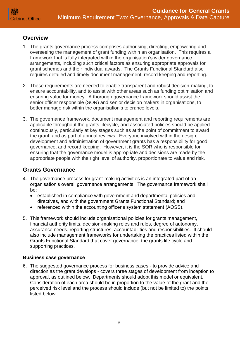## <span id="page-8-0"></span>**Overview**

- 1. The grants governance process comprises authorising, directing, empowering and overseeing the management of grant funding within an organisation. This requires a framework that is fully integrated within the organisation's wider governance arrangements, including such critical factors as ensuring appropriate approvals for grant schemes and their individual awards. The Grants Functional Standard also requires detailed and timely document management, record keeping and reporting.
- 2. These requirements are needed to enable transparent and robust decision-making, to ensure accountability, and to assist with other areas such as funding optimisation and ensuring value for money. A thorough governance framework should assist the senior officer responsible (SOR) and senior decision makers in organisations, to better manage risk within the organisation's tolerance levels.
- 3. The governance framework, document management and reporting requirements are applicable throughout the grants lifecycle, and associated policies should be applied continuously, particularly at key stages such as at the point of commitment to award the grant, and as part of annual reviews. Everyone involved within the design, development and administration of government grants has a responsibility for good governance, and record keeping. However, it is the SOR who is responsible for ensuring that the governance model is appropriate and decisions are made by the appropriate people with the right level of authority, proportionate to value and risk.

## <span id="page-8-1"></span>**Grants Governance**

- 4. The governance process for grant-making activities is an integrated part of an organisation's overall governance arrangements. The governance framework shall be:
	- established in compliance with government and departmental policies and directives, and with the government Grants Functional Standard; and
	- referenced within the accounting officer's system statement (AOSS).
- 5. This framework should include organisational policies for grants management, financial authority limits, decision-making roles and rules, degree of autonomy, assurance needs, reporting structures, accountabilities and responsibilities. It should also include management frameworks for undertaking the practices listed within the Grants Functional Standard that cover governance, the grants life cycle and supporting practices.

#### <span id="page-8-2"></span>**Business case governance**

6. The suggested governance process for business cases - to provide advice and direction as the grant develops - covers three stages of development from inception to approval, as outlined below. Departments should adopt this model or equivalent. Consideration of each area should be in proportion to the value of the grant and the perceived risk level and the process should include (but not be limited to) the points listed below: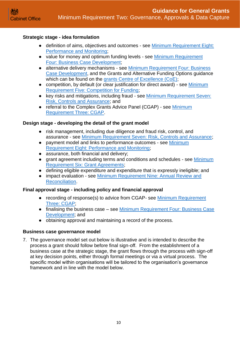#### <span id="page-9-0"></span>**Strategic stage - idea formulation**

- definition of aims, objectives and outcomes see Minimum Requirement Eight: [Performance and Monitoring;](https://assets.publishing.service.gov.uk/government/uploads/system/uploads/attachment_data/file/722202/Grants-Standard-EIGHT-Performance-and-Monitoring.pdf)
- value for money and optimum funding levels see Minimum Requirement [Four: Business Case Development;](https://assets.publishing.service.gov.uk/government/uploads/system/uploads/attachment_data/file/722198/Grants-Standard-FOUR-Business-Case.pdf)
- alternative delivery mechanisms see Minimum Requirement Four: Business [Case Development,](https://assets.publishing.service.gov.uk/government/uploads/system/uploads/attachment_data/file/722198/Grants-Standard-FOUR-Business-Case.pdf) and the Grants and Alternative Funding Options guidance which can be found on the [grants Centre of Excellence \(CoE\);](https://gcoe.civilservice.gov.uk/)
- competition, by default (or clear justification for direct award) see Minimum [Requirement Five: Competition for Funding;](https://assets.publishing.service.gov.uk/government/uploads/system/uploads/attachment_data/file/722199/Grants-Standard-FIVE-Competition.pdf)
- key risks and mitigations, including fraud see Minimum Requirement Seven: [Risk, Controls and Assurance;](https://assets.publishing.service.gov.uk/government/uploads/system/uploads/attachment_data/file/722201/Grants-Standard-SEVEN-Due-Diligence-and-Fraud-Risk.pdf) and
- referral to the Complex Grants Advice Panel (CGAP) see Minimum [Requirement Three: CGAP.](https://assets.publishing.service.gov.uk/government/uploads/system/uploads/attachment_data/file/722197/Grants-Standard-THREE-NGAP.pdf)

#### <span id="page-9-1"></span>**Design stage - developing the detail of the grant model**

- risk management, including due diligence and fraud risk, control, and assurance - see [Minimum Requirement Seven: Risk, Controls and Assurance;](https://assets.publishing.service.gov.uk/government/uploads/system/uploads/attachment_data/file/722201/Grants-Standard-SEVEN-Due-Diligence-and-Fraud-Risk.pdf)
- payment model and links to performance outcomes see [Minimum](https://assets.publishing.service.gov.uk/government/uploads/system/uploads/attachment_data/file/722202/Grants-Standard-EIGHT-Performance-and-Monitoring.pdf)  [Requirement Eight: Performance and Monitoring;](https://assets.publishing.service.gov.uk/government/uploads/system/uploads/attachment_data/file/722202/Grants-Standard-EIGHT-Performance-and-Monitoring.pdf)
- assurance, both financial and delivery:
- grant agreement including terms and conditions and schedules see Minimum [Requirement Six: Grant Agreements;](https://assets.publishing.service.gov.uk/government/uploads/system/uploads/attachment_data/file/722200/Grants-Standard-SIX-Grant-Agreements.pdf)
- defining eligible expenditure and expenditure that is expressly ineligible; and
- impact evaluation see Minimum Requirement Nine: Annual Review and [Reconciliation.](https://assets.publishing.service.gov.uk/government/uploads/system/uploads/attachment_data/file/722203/Grants-Standard-NINE-Review-and-Reconciliation.pdf)

#### <span id="page-9-2"></span>**Final approval stage - including policy and financial approval**

- recording of response(s) to advice from CGAP- see Minimum Requirement [Three: CGAP;](https://assets.publishing.service.gov.uk/government/uploads/system/uploads/attachment_data/file/722197/Grants-Standard-THREE-NGAP.pdf)
- finalising the business case see [Minimum Requirement Four: Business Case](https://assets.publishing.service.gov.uk/government/uploads/system/uploads/attachment_data/file/722198/Grants-Standard-FOUR-Business-Case.pdf)  Development: and
- obtaining approval and maintaining a record of the process.

#### <span id="page-9-3"></span>**Business case governance model**

7. The governance model set out below is illustrative and is intended to describe the process a grant should follow before final sign-off. From the establishment of a business case at the strategic stage, the grant flows through the process with sign-off at key decision points, either through formal meetings or via a virtual process. The specific model within organisations will be tailored to the organisation's governance framework and in line with the model below.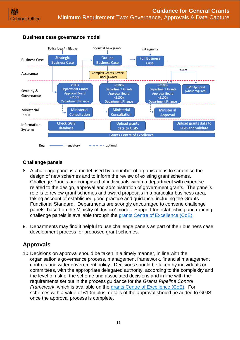

#### **Business case governance model**

## <span id="page-10-0"></span>**Challenge panels**

- 8. A challenge panel is a model used by a number of organisations to scrutinise the design of new schemes and to inform the review of existing grant schemes. Challenge Panels are comprised of individuals within a department with expertise related to the design, approval and administration of government grants. The panel's role is to review grant schemes and award proposals in a particular business area, taking account of established good practice and guidance, including the Grants Functional Standard. Departments are strongly encouraged to convene challenge panels, based on the Ministry of Justice' model. Support for establishing and running challenge panels is available through the [grants Centre of Excellence \(CoE\).](https://gcoe.civilservice.gov.uk/)
- 9. Departments may find it helpful to use challenge panels as part of their business case development process for proposed grant schemes.

## <span id="page-10-1"></span>**Approvals**

10.Decisions on approval should be taken in a timely manner, in line with the organisation's governance process, management framework, financial management controls and wider government policy. Decisions should be taken by individuals or committees, with the appropriate delegated authority, according to the complexity and the level of risk of the scheme and associated decisions and in line with the requirements set out in the process guidance for the *Grants Pipeline Control Framework*, which is available on the [grants Centre of Excellence \(CoE\).](https://gcoe.civilservice.gov.uk/) For schemes with a value of £10m plus, details of the approval should be added to GGIS once the approval process is complete.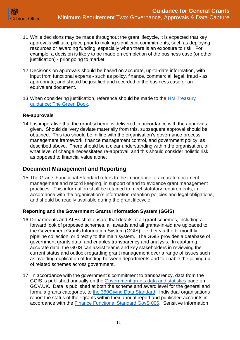- 11.While decisions may be made throughout the grant lifecycle, it is expected that key approvals will take place prior to making significant commitments, such as deploying resources or awarding funding, especially when there is an exposure to risk. For example, a decision is likely to be made on completion of the business case (or other justification) - prior going to market.
- 12.Decisions on approvals should be based on accurate, up-to-date information, with input from functional experts - such as policy, finance, commercial, legal, fraud - as appropriate, and should be justified and recorded in the business case or an equivalent document.
- 13. When considering justification, reference should be made to the HM Treasury [guidance: The Green Book.](https://www.gov.uk/government/publications/the-green-book-appraisal-and-evaluation-in-central-governent)

#### <span id="page-11-0"></span>**Re-approvals**

14.It is imperative that the grant scheme is delivered in accordance with the approvals given. Should delivery deviate materially from this, subsequent approval should be obtained. This too should be in line with the organisation's governance process, management framework, finance management control, and government policy, as described above. There should be a clear understanding within the organisation, of what level of change necessitates re-approval, and this should consider holistic risk as opposed to financial value alone.

## <span id="page-11-1"></span>**Document Management and Reporting**

15.The Grants Functional Standard refers to the importance of accurate document management and record keeping, in support of and to evidence grant management practices. This information shall be retained to meet statutory requirements, in accordance with the organisation's information retention policies and legal obligations, and should be readily available during the grant lifecycle.

#### <span id="page-11-2"></span>**Reporting and the Government Grants Information System (GGIS)**

- 16.Departments and ALBs shall ensure that details of all grant schemes, including a forward look of proposed schemes, all awards and all grants-in-aid are uploaded to the Government Grants Information System (GGIS) – either via the bi-monthly pipeline collection, or directly to the main system. The GGIS provides a database of government grants data, and enables transparency and analysis. In capturing accurate data, the GGIS can assist teams and key stakeholders in reviewing the current status and outlook regarding grant management over a range of issues such as avoiding duplication of funding between departments and to enable the joining up of related schemes across government.
- 17. In accordance with the government's commitment to transparency, data from the GGIS is published annually on the [Government grants data and statistics](https://www.gov.uk/government/collections/government-grants-data-and-statistics) page on GOV.UK. Data is published at both the scheme and award level for the general and formula grants categories, to [the 360Giving Data Standard.](https://www.threesixtygiving.org/support/standard/) Individual organisations report the status of their grants within their annual report and published accounts in accordance with the [Finance Functional Standard GovS 006.](https://assets.publishing.service.gov.uk/government/uploads/system/uploads/attachment_data/file/867043/6.5731_GF_Government_Functional_Standard_Finance_V6.pdf) Sensitive information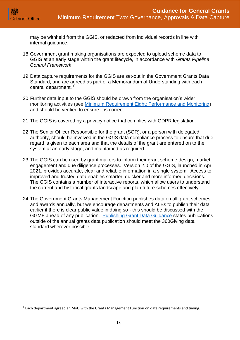may be withheld from the GGIS, or redacted from individual records in line with internal quidance.

- 18.Government grant making organisations are expected to upload scheme data to GGIS at an early stage within the grant lifecycle, in accordance with *Grants Pipeline Control Framework*.
- 19.Data capture requirements for the GGIS are set-out in the Government Grants Data Standard, and are agreed as part of a Memorandum of Understanding with each central department.<sup>1</sup>
- 20.Further data input to the GGIS should be drawn from the organisation's wider monitoring activities (see [Minimum Requirement Eight: Performance and Monitoring\)](https://assets.publishing.service.gov.uk/government/uploads/system/uploads/attachment_data/file/722202/Grants-Standard-EIGHT-Performance-and-Monitoring.pdf) and should be verified to ensure it is correct.
- 21.The GGIS is covered by a privacy notice that complies with GDPR legislation.
- 22.The Senior Officer Responsible for the grant (SOR), or a person with delegated authority, should be involved in the GGIS data compliance process to ensure that due regard is given to each area and that the details of the grant are entered on to the system at an early stage, and maintained as required.
- 23.The GGIS can be used by grant makers to inform their grant scheme design, market engagement and due diligence processes. Version 2.0 of the GGIS, launched in April 2021, provides accurate, clear and reliable information in a single system. Access to improved and trusted data enables smarter, quicker and more informed decisions. The GGIS contains a number of interactive reports, which allow users to understand the current and historical grants landscape and plan future schemes effectively.
- 24.The Government Grants Management Function publishes data on all grant schemes and awards annually, but we encourage departments and ALBs to publish their data earlier if there is clear public value in doing so - this should be discussed with the GGMF ahead of any publication. [Publishing Grant Data Guidance](https://www.gov.uk/government/publications/open-standards-for-government/data-standard-for-grant-making) states publications outside of the annual grants data publication should meet the 360Giving data standard wherever possible.

 $1$  Each department agreed an MoU with the Grants Management Function on data requirements and timing.